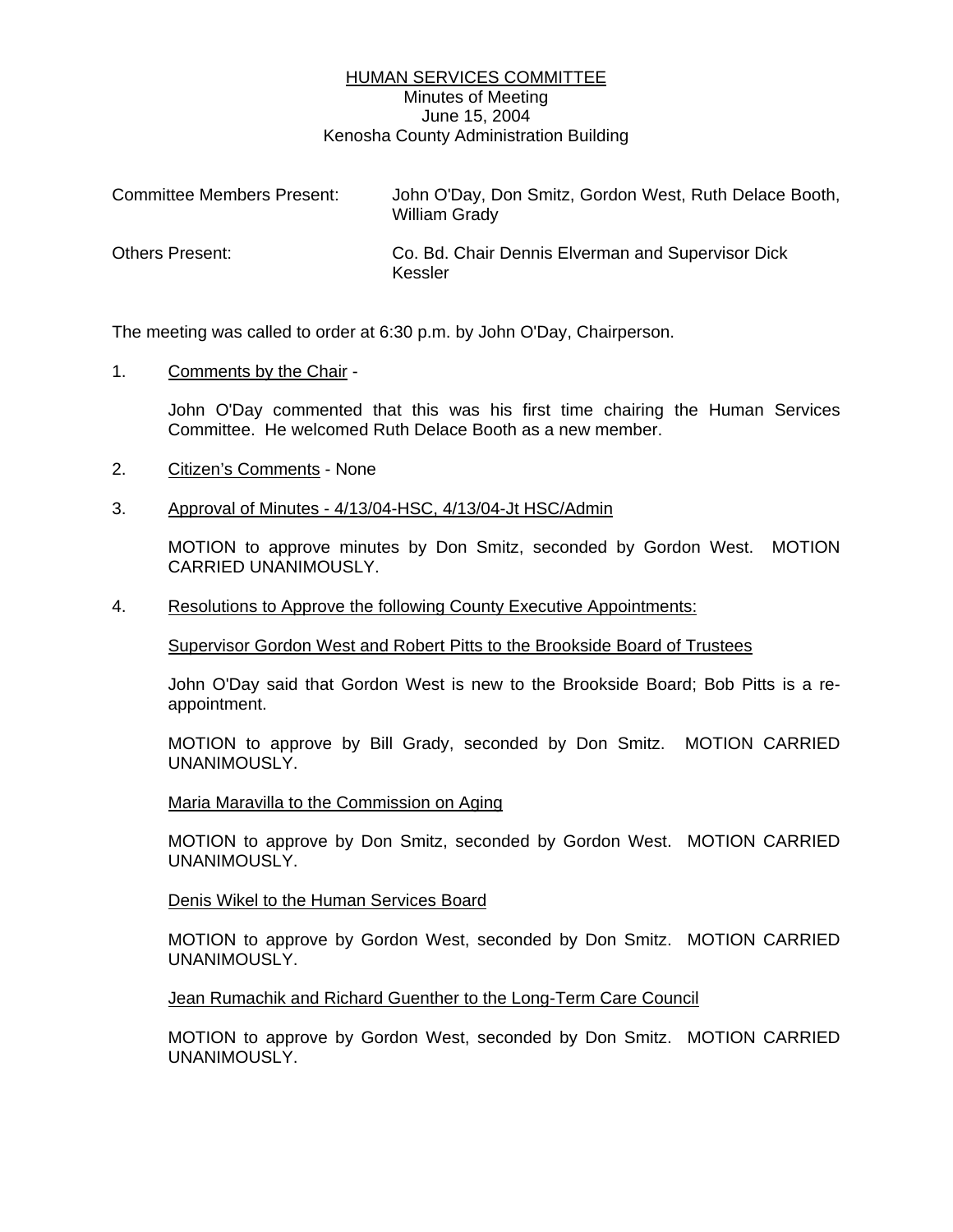# HUMAN SERVICES COMMITTEE Minutes of Meeting June 15, 2004 Kenosha County Administration Building

| <b>Committee Members Present:</b> | John O'Day, Don Smitz, Gordon West, Ruth Delace Booth,<br>William Grady |
|-----------------------------------|-------------------------------------------------------------------------|
| <b>Others Present:</b>            | Co. Bd. Chair Dennis Elverman and Supervisor Dick<br>Kessler            |

The meeting was called to order at 6:30 p.m. by John O'Day, Chairperson.

1. Comments by the Chair -

John O'Day commented that this was his first time chairing the Human Services Committee. He welcomed Ruth Delace Booth as a new member.

2. Citizen's Comments - None

#### 3. Approval of Minutes - 4/13/04-HSC, 4/13/04-Jt HSC/Admin

MOTION to approve minutes by Don Smitz, seconded by Gordon West. MOTION CARRIED UNANIMOUSLY.

4. Resolutions to Approve the following County Executive Appointments:

Supervisor Gordon West and Robert Pitts to the Brookside Board of Trustees

John O'Day said that Gordon West is new to the Brookside Board; Bob Pitts is a reappointment.

MOTION to approve by Bill Grady, seconded by Don Smitz. MOTION CARRIED UNANIMOUSLY.

Maria Maravilla to the Commission on Aging

MOTION to approve by Don Smitz, seconded by Gordon West. MOTION CARRIED UNANIMOUSLY.

Denis Wikel to the Human Services Board

MOTION to approve by Gordon West, seconded by Don Smitz. MOTION CARRIED UNANIMOUSLY.

Jean Rumachik and Richard Guenther to the Long-Term Care Council

MOTION to approve by Gordon West, seconded by Don Smitz. MOTION CARRIED UNANIMOUSLY.